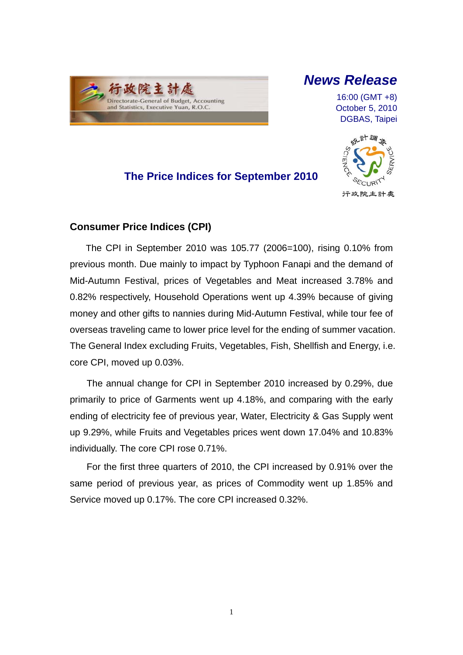

# *News Release*

16:00 (GMT +8) October 5, 2010 DGBAS, Taipei

# **The Price Indices for September 2010**



## **Consumer Price Indices (CPI)**

The CPI in September 2010 was 105.77 (2006=100), rising 0.10% from previous month. Due mainly to impact by Typhoon Fanapi and the demand of Mid-Autumn Festival, prices of Vegetables and Meat increased 3.78% and 0.82% respectively, Household Operations went up 4.39% because of giving money and other gifts to nannies during Mid-Autumn Festival, while tour fee of overseas traveling came to lower price level for the ending of summer vacation. The General Index excluding Fruits, Vegetables, Fish, Shellfish and Energy, i.e. core CPI, moved up 0.03%.

The annual change for CPI in September 2010 increased by 0.29%, due primarily to price of Garments went up 4.18%, and comparing with the early ending of electricity fee of previous year, Water, Electricity & Gas Supply went up 9.29%, while Fruits and Vegetables prices went down 17.04% and 10.83% individually. The core CPI rose 0.71%.

For the first three quarters of 2010, the CPI increased by 0.91% over the same period of previous year, as prices of Commodity went up 1.85% and Service moved up 0.17%. The core CPI increased 0.32%.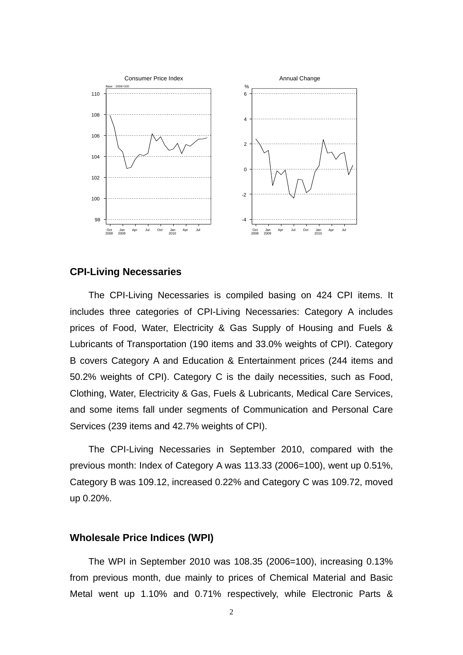

#### **CPI-Living Necessaries**

The CPI-Living Necessaries is compiled basing on 424 CPI items. It includes three categories of CPI-Living Necessaries: Category A includes prices of Food, Water, Electricity & Gas Supply of Housing and Fuels & Lubricants of Transportation (190 items and 33.0% weights of CPI). Category B covers Category A and Education & Entertainment prices (244 items and 50.2% weights of CPI). Category C is the daily necessities, such as Food, Clothing, Water, Electricity & Gas, Fuels & Lubricants, Medical Care Services, and some items fall under segments of Communication and Personal Care Services (239 items and 42.7% weights of CPI).

The CPI-Living Necessaries in September 2010, compared with the previous month: Index of Category A was 113.33 (2006=100), went up 0.51%, Category B was 109.12, increased 0.22% and Category C was 109.72, moved up 0.20%.

#### **Wholesale Price Indices (WPI)**

The WPI in September 2010 was 108.35 (2006=100), increasing 0.13% from previous month, due mainly to prices of Chemical Material and Basic Metal went up 1.10% and 0.71% respectively, while Electronic Parts &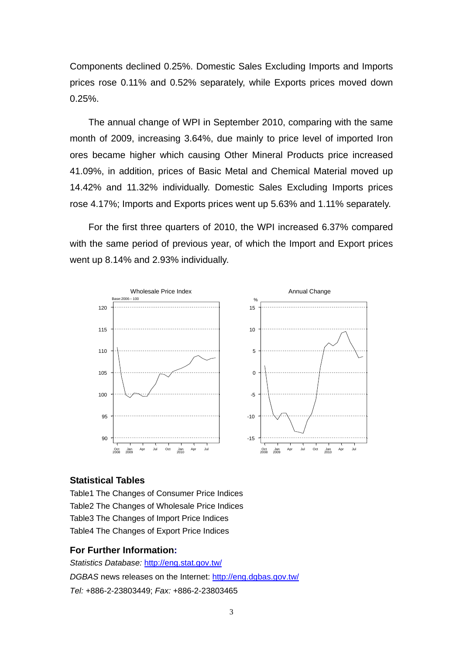Components declined 0.25%. Domestic Sales Excluding Imports and Imports prices rose 0.11% and 0.52% separately, while Exports prices moved down 0.25%.

The annual change of WPI in September 2010, comparing with the same month of 2009, increasing 3.64%, due mainly to price level of imported Iron ores became higher which causing Other Mineral Products price increased 41.09%, in addition, prices of Basic Metal and Chemical Material moved up 14.42% and 11.32% individually. Domestic Sales Excluding Imports prices rose 4.17%; Imports and Exports prices went up 5.63% and 1.11% separately.

For the first three quarters of 2010, the WPI increased 6.37% compared with the same period of previous year, of which the Import and Export prices went up 8.14% and 2.93% individually.



#### **Statistical Tables**

Table1 The Changes of Consumer Price Indices Table2 The Changes of Wholesale Price Indices Table3 The Changes of Import Price Indices Table4 The Changes of Export Price Indices

#### **For Further Information:**

*Statistics Database:* http://eng.stat.gov.tw/ *DGBAS* news releases on the Internet: http://eng.dgbas.gov.tw/ *Tel:* +886-2-23803449; *Fax:* +886-2-23803465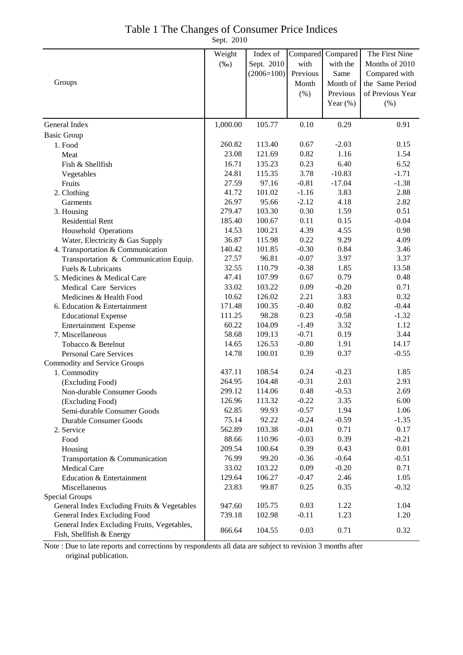## Table 1 The Changes of Consumer Price Indices

Sept. 2010

|                                                                         | Weight   | Index of         | Compared        | Compared     | The First Nine   |
|-------------------------------------------------------------------------|----------|------------------|-----------------|--------------|------------------|
|                                                                         | $(\%0)$  | Sept. 2010       | with            | with the     | Months of 2010   |
|                                                                         |          | $(2006=100)$     | Previous        | Same         | Compared with    |
| Groups                                                                  |          |                  | Month           | Month of     | the Same Period  |
|                                                                         |          |                  | $(\%)$          | Previous     | of Previous Year |
|                                                                         |          |                  |                 | Year $(\%)$  | $(\% )$          |
|                                                                         |          |                  |                 |              |                  |
| General Index                                                           | 1,000.00 | 105.77           | 0.10            | 0.29         | 0.91             |
|                                                                         |          |                  |                 |              |                  |
| <b>Basic Group</b><br>1. Food                                           | 260.82   | 113.40           | 0.67            | $-2.03$      | 0.15             |
|                                                                         | 23.08    | 121.69           | 0.82            | 1.16         | 1.54             |
| Meat                                                                    | 16.71    | 135.23           | 0.23            | 6.40         | 6.52             |
| Fish & Shellfish                                                        | 24.81    | 115.35           | 3.78            | $-10.83$     | $-1.71$          |
| Vegetables                                                              | 27.59    | 97.16            | $-0.81$         | $-17.04$     | $-1.38$          |
| Fruits                                                                  | 41.72    | 101.02           | $-1.16$         | 3.83         | 2.88             |
| 2. Clothing                                                             | 26.97    | 95.66            | $-2.12$         | 4.18         | 2.82             |
| Garments                                                                | 279.47   | 103.30           | 0.30            | 1.59         | 0.51             |
| 3. Housing                                                              |          |                  |                 |              |                  |
| <b>Residential Rent</b>                                                 | 185.40   | 100.67<br>100.21 | 0.11            | 0.15         | $-0.04$          |
| Household Operations                                                    | 14.53    |                  | 4.39            | 4.55         | 0.98             |
| Water, Electricity & Gas Supply                                         | 36.87    | 115.98           | 0.22<br>$-0.30$ | 9.29         | 4.09             |
| 4. Transportation & Communication                                       | 140.42   | 101.85           |                 | 0.84<br>3.97 | 3.46             |
| Transportation & Communication Equip.                                   | 27.57    | 96.81            | $-0.07$         |              | 3.37             |
| Fuels & Lubricants                                                      | 32.55    | 110.79           | $-0.38$         | 1.85         | 13.58            |
| 5. Medicines & Medical Care                                             | 47.41    | 107.99           | 0.67            | 0.79         | 0.48             |
| Medical Care Services                                                   | 33.02    | 103.22           | 0.09            | $-0.20$      | 0.71             |
| Medicines & Health Food                                                 | 10.62    | 126.02           | 2.21            | 3.83         | 0.32             |
| 6. Education & Entertainment                                            | 171.48   | 100.35           | $-0.40$         | 0.82         | $-0.44$          |
| <b>Educational Expense</b>                                              | 111.25   | 98.28            | 0.23            | $-0.58$      | $-1.32$          |
| Entertainment Expense                                                   | 60.22    | 104.09           | $-1.49$         | 3.32         | 1.12             |
| 7. Miscellaneous                                                        | 58.68    | 109.13           | $-0.71$         | 0.19         | 3.44             |
| Tobacco & Betelnut                                                      | 14.65    | 126.53           | $-0.80$         | 1.91         | 14.17            |
| <b>Personal Care Services</b>                                           | 14.78    | 100.01           | 0.39            | 0.37         | $-0.55$          |
| Commodity and Service Groups                                            |          |                  |                 |              |                  |
| 1. Commodity                                                            | 437.11   | 108.54           | 0.24            | $-0.23$      | 1.85             |
| (Excluding Food)                                                        | 264.95   | 104.48           | $-0.31$         | 2.03         | 2.93             |
| Non-durable Consumer Goods                                              | 299.12   | 114.06           | 0.48            | $-0.53$      | 2.69             |
| (Excluding Food)                                                        | 126.96   | 113.32           | $-0.22$         | 3.35         | 6.00             |
| Semi-durable Consumer Goods                                             | 62.85    | 99.93            | $-0.57$         | 1.94         | 1.06             |
| <b>Durable Consumer Goods</b>                                           | 75.14    | 92.22            | $-0.24$         | $-0.59$      | $-1.35$          |
| 2. Service                                                              | 562.89   | 103.38           | $-0.01$         | 0.71         | 0.17             |
| Food                                                                    | 88.66    | 110.96           | $-0.03$         | 0.39         | $-0.21$          |
| Housing                                                                 | 209.54   | 100.64           | 0.39            | 0.43         | 0.01             |
| Transportation & Communication                                          | 76.99    | 99.20            | $-0.36$         | $-0.64$      | $-0.51$          |
| <b>Medical Care</b>                                                     | 33.02    | 103.22           | 0.09            | $-0.20$      | 0.71             |
| Education & Entertainment                                               | 129.64   | 106.27           | $-0.47$         | 2.46         | 1.05             |
| Miscellaneous                                                           | 23.83    | 99.87            | 0.25            | 0.35         | $-0.32$          |
| Special Groups                                                          |          |                  |                 |              |                  |
| General Index Excluding Fruits & Vegetables                             | 947.60   | 105.75           | 0.03            | 1.22         | 1.04             |
| General Index Excluding Food                                            | 739.18   | 102.98           | $-0.11$         | 1.23         | 1.20             |
| General Index Excluding Fruits, Vegetables,<br>Fish, Shellfish & Energy | 866.64   | 104.55           | 0.03            | 0.71         | 0.32             |

Note : Due to late reports and corrections by respondents all data are subject to revision 3 months after original publication.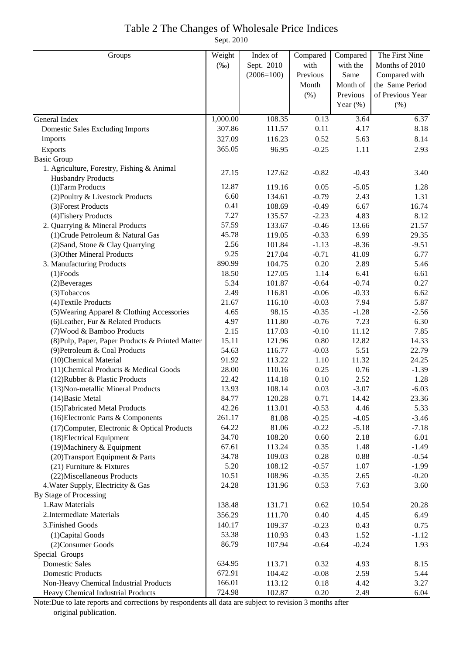## Table 2 The Changes of Wholesale Price Indices

Sept. 2010

| Groups                                           | Weight   | Index of     | Compared | Compared    | The First Nine   |
|--------------------------------------------------|----------|--------------|----------|-------------|------------------|
|                                                  | $(\%0)$  | Sept. 2010   | with     | with the    | Months of 2010   |
|                                                  |          | $(2006=100)$ | Previous | Same        | Compared with    |
|                                                  |          |              | Month    | Month of    | the Same Period  |
|                                                  |          |              | (% )     | Previous    | of Previous Year |
|                                                  |          |              |          | Year $(\%)$ | (% )             |
| General Index                                    | 1,000.00 | 108.35       | 0.13     | 3.64        | 6.37             |
| <b>Domestic Sales Excluding Imports</b>          | 307.86   | 111.57       | 0.11     | 4.17        | 8.18             |
| Imports                                          | 327.09   | 116.23       | 0.52     | 5.63        | 8.14             |
| Exports                                          | 365.05   | 96.95        | $-0.25$  | 1.11        | 2.93             |
| <b>Basic Group</b>                               |          |              |          |             |                  |
| 1. Agriculture, Forestry, Fishing & Animal       |          |              |          |             |                  |
| <b>Husbandry Products</b>                        | 27.15    | 127.62       | $-0.82$  | $-0.43$     | 3.40             |
| (1) Farm Products                                | 12.87    | 119.16       | 0.05     | $-5.05$     | 1.28             |
| (2) Poultry & Livestock Products                 | 6.60     | 134.61       | $-0.79$  | 2.43        | 1.31             |
| (3) Forest Products                              | 0.41     | 108.69       | $-0.49$  | 6.67        | 16.74            |
| (4) Fishery Products                             | 7.27     | 135.57       | $-2.23$  | 4.83        | 8.12             |
| 2. Quarrying & Mineral Products                  | 57.59    | 133.67       | $-0.46$  | 13.66       | 21.57            |
| (1) Crude Petroleum & Natural Gas                | 45.78    | 119.05       | $-0.33$  | 6.99        | 29.35            |
| (2) Sand, Stone & Clay Quarrying                 | 2.56     | 101.84       | $-1.13$  | $-8.36$     | $-9.51$          |
| (3) Other Mineral Products                       | 9.25     | 217.04       | $-0.71$  | 41.09       | 6.77             |
| 3. Manufacturing Products                        | 890.99   | 104.75       | 0.20     | 2.89        | 5.46             |
| $(1)$ Foods                                      | 18.50    | 127.05       | 1.14     | 6.41        | 6.61             |
| (2) Beverages                                    | 5.34     | 101.87       | $-0.64$  | $-0.74$     | 0.27             |
| (3) Tobaccos                                     | 2.49     | 116.81       | $-0.06$  | $-0.33$     | 6.62             |
| (4) Textile Products                             | 21.67    | 116.10       | $-0.03$  | 7.94        | 5.87             |
| (5) Wearing Apparel & Clothing Accessories       | 4.65     | 98.15        | $-0.35$  | $-1.28$     | $-2.56$          |
| (6) Leather, Fur & Related Products              | 4.97     | 111.80       | $-0.76$  | 7.23        | 6.30             |
| (7) Wood & Bamboo Products                       | 2.15     | 117.03       | $-0.10$  | 11.12       | 7.85             |
| (8) Pulp, Paper, Paper Products & Printed Matter | 15.11    | 121.96       | 0.80     | 12.82       | 14.33            |
| (9) Petroleum & Coal Products                    | 54.63    | 116.77       | $-0.03$  | 5.51        | 22.79            |
| (10)Chemical Material                            | 91.92    | 113.22       | 1.10     | 11.32       | 24.25            |
| (11) Chemical Products & Medical Goods           | 28.00    | 110.16       | 0.25     | 0.76        | $-1.39$          |
| (12) Rubber & Plastic Products                   | 22.42    | 114.18       | 0.10     | 2.52        | 1.28             |
| (13) Non-metallic Mineral Products               | 13.93    | 108.14       | 0.03     | $-3.07$     | $-6.03$          |
| $(14)$ Basic Metal                               | 84.77    | 120.28       | 0.71     | 14.42       | 23.36            |
| (15) Fabricated Metal Products                   | 42.26    | 113.01       | $-0.53$  | 4.46        | 5.33             |
| (16) Electronic Parts & Components               | 261.17   | 81.08        | $-0.25$  | $-4.05$     | $-3.46$          |
| (17) Computer, Electronic & Optical Products     | 64.22    | 81.06        | $-0.22$  | $-5.18$     | $-7.18$          |
| (18) Electrical Equipment                        | 34.70    | 108.20       | 0.60     | 2.18        | 6.01             |
| (19) Machinery & Equipment                       | 67.61    | 113.24       | 0.35     | 1.48        | $-1.49$          |
| (20) Transport Equipment & Parts                 | 34.78    | 109.03       | 0.28     | 0.88        | $-0.54$          |
| $(21)$ Furniture & Fixtures                      | 5.20     | 108.12       | $-0.57$  | 1.07        | $-1.99$          |
| (22) Miscellaneous Products                      | 10.51    | 108.96       | $-0.35$  | 2.65        | $-0.20$          |
| 4. Water Supply, Electricity & Gas               | 24.28    | 131.96       | 0.53     | 7.63        | 3.60             |
| By Stage of Processing                           |          |              |          |             |                  |
| 1.Raw Materials                                  | 138.48   | 131.71       | 0.62     | 10.54       | 20.28            |
| 2. Intermediate Materials                        | 356.29   | 111.70       | 0.40     | 4.45        | 6.49             |
| 3. Finished Goods                                | 140.17   | 109.37       | $-0.23$  | 0.43        | 0.75             |
| (1) Capital Goods                                | 53.38    | 110.93       | 0.43     | 1.52        | $-1.12$          |
| (2) Consumer Goods                               | 86.79    | 107.94       | $-0.64$  | $-0.24$     | 1.93             |
| Special Groups                                   |          |              |          |             |                  |
| <b>Domestic Sales</b>                            | 634.95   | 113.71       | 0.32     | 4.93        | 8.15             |
| <b>Domestic Products</b>                         | 672.91   | 104.42       | $-0.08$  | 2.59        | 5.44             |
| Non-Heavy Chemical Industrial Products           | 166.01   | 113.12       | 0.18     | 4.42        | 3.27             |
| Heavy Chemical Industrial Products               | 724.98   | 102.87       | 0.20     | 2.49        | 6.04             |

Note:Due to late reports and corrections by respondents all data are subject to revision 3 months after original publication.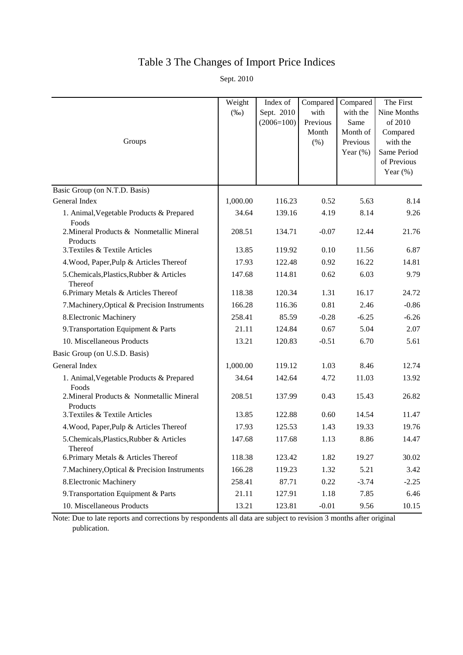# Table 3 The Changes of Import Price Indices

Sept. 2010

| Groups                                                | Weight<br>$(\%0)$ | Index of<br>Sept. 2010<br>$(2006=100)$ | Compared<br>with<br>Previous<br>Month<br>(% ) | Compared<br>with the<br>Same<br>Month of<br>Previous<br>Year $(\%)$ | The First<br>Nine Months<br>of 2010<br>Compared<br>with the<br>Same Period<br>of Previous |
|-------------------------------------------------------|-------------------|----------------------------------------|-----------------------------------------------|---------------------------------------------------------------------|-------------------------------------------------------------------------------------------|
|                                                       |                   |                                        |                                               |                                                                     | Year $(\%)$                                                                               |
| Basic Group (on N.T.D. Basis)                         |                   |                                        |                                               |                                                                     |                                                                                           |
| General Index                                         | 1,000.00          | 116.23                                 | 0.52                                          | 5.63                                                                | 8.14                                                                                      |
| 1. Animal, Vegetable Products & Prepared<br>Foods     | 34.64             | 139.16                                 | 4.19                                          | 8.14                                                                | 9.26                                                                                      |
| 2. Mineral Products & Nonmetallic Mineral<br>Products | 208.51            | 134.71                                 | $-0.07$                                       | 12.44                                                               | 21.76                                                                                     |
| 3. Textiles & Textile Articles                        | 13.85             | 119.92                                 | 0.10                                          | 11.56                                                               | 6.87                                                                                      |
| 4. Wood, Paper, Pulp & Articles Thereof               | 17.93             | 122.48                                 | 0.92                                          | 16.22                                                               | 14.81                                                                                     |
| 5.Chemicals, Plastics, Rubber & Articles<br>Thereof   | 147.68            | 114.81                                 | 0.62                                          | 6.03                                                                | 9.79                                                                                      |
| 6. Primary Metals & Articles Thereof                  | 118.38            | 120.34                                 | 1.31                                          | 16.17                                                               | 24.72                                                                                     |
| 7. Machinery, Optical & Precision Instruments         | 166.28            | 116.36                                 | 0.81                                          | 2.46                                                                | $-0.86$                                                                                   |
| 8. Electronic Machinery                               | 258.41            | 85.59                                  | $-0.28$                                       | $-6.25$                                                             | $-6.26$                                                                                   |
| 9. Transportation Equipment & Parts                   | 21.11             | 124.84                                 | 0.67                                          | 5.04                                                                | 2.07                                                                                      |
| 10. Miscellaneous Products                            | 13.21             | 120.83                                 | $-0.51$                                       | 6.70                                                                | 5.61                                                                                      |
| Basic Group (on U.S.D. Basis)                         |                   |                                        |                                               |                                                                     |                                                                                           |
| General Index                                         | 1,000.00          | 119.12                                 | 1.03                                          | 8.46                                                                | 12.74                                                                                     |
| 1. Animal, Vegetable Products & Prepared<br>Foods     | 34.64             | 142.64                                 | 4.72                                          | 11.03                                                               | 13.92                                                                                     |
| 2. Mineral Products & Nonmetallic Mineral<br>Products | 208.51            | 137.99                                 | 0.43                                          | 15.43                                                               | 26.82                                                                                     |
| 3. Textiles & Textile Articles                        | 13.85             | 122.88                                 | 0.60                                          | 14.54                                                               | 11.47                                                                                     |
| 4. Wood, Paper, Pulp & Articles Thereof               | 17.93             | 125.53                                 | 1.43                                          | 19.33                                                               | 19.76                                                                                     |
| 5.Chemicals, Plastics, Rubber & Articles<br>Thereof   | 147.68            | 117.68                                 | 1.13                                          | 8.86                                                                | 14.47                                                                                     |
| 6. Primary Metals & Articles Thereof                  | 118.38            | 123.42                                 | 1.82                                          | 19.27                                                               | 30.02                                                                                     |
| 7. Machinery, Optical & Precision Instruments         | 166.28            | 119.23                                 | 1.32                                          | 5.21                                                                | 3.42                                                                                      |
| 8. Electronic Machinery                               | 258.41            | 87.71                                  | 0.22                                          | $-3.74$                                                             | $-2.25$                                                                                   |
| 9. Transportation Equipment & Parts                   | 21.11             | 127.91                                 | 1.18                                          | 7.85                                                                | 6.46                                                                                      |
| 10. Miscellaneous Products                            | 13.21             | 123.81                                 | $-0.01$                                       | 9.56                                                                | 10.15                                                                                     |

Note: Due to late reports and corrections by respondents all data are subject to revision 3 months after original publication.